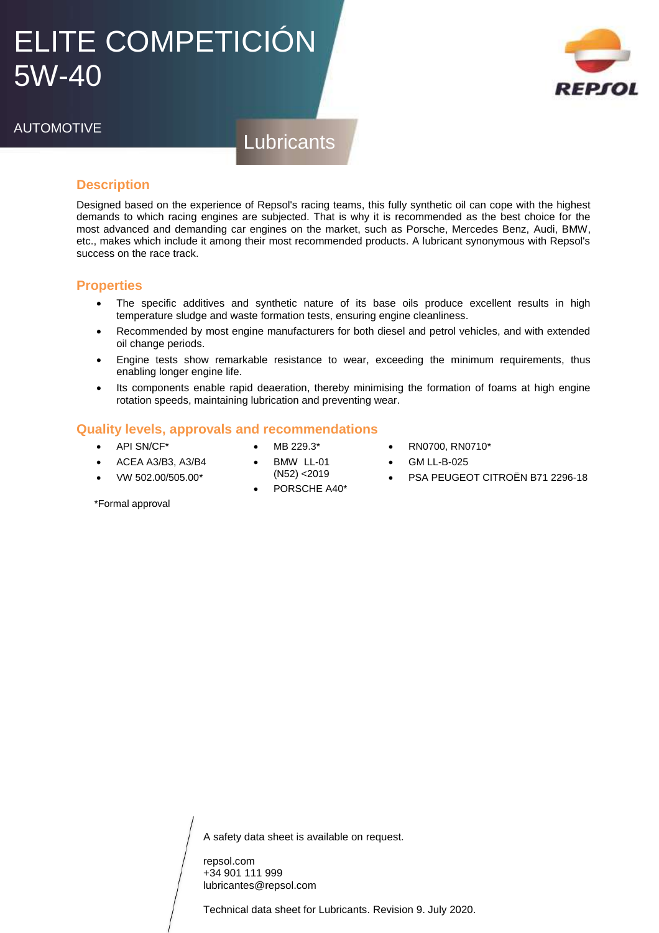## ELITE COMPETICIÓN 5W-40



## AUTOMOTIVE

**Lubricants** 

### **Description**

Designed based on the experience of Repsol's racing teams, this fully synthetic oil can cope with the highest demands to which racing engines are subjected. That is why it is recommended as the best choice for the most advanced and demanding car engines on the market, such as Porsche, Mercedes Benz, Audi, BMW, etc., makes which include it among their most recommended products. A lubricant synonymous with Repsol's success on the race track.

#### **Properties**

- The specific additives and synthetic nature of its base oils produce excellent results in high temperature sludge and waste formation tests, ensuring engine cleanliness.
- Recommended by most engine manufacturers for both diesel and petrol vehicles, and with extended oil change periods.
- Engine tests show remarkable resistance to wear, exceeding the minimum requirements, thus enabling longer engine life.
- Its components enable rapid deaeration, thereby minimising the formation of foams at high engine rotation speeds, maintaining lubrication and preventing wear.

#### **Quality levels, approvals and recommendations**

- API SN/CF\*
- MB 229.3\* BMW LL-01

(N52) <2019 PORSCHE A40\*

- RN0700, RN0710\*
- GM LL-B-025
- PSA PEUGEOT CITROËN B71 2296-18

VW 502.00/505.00\*

ACEA A3/B3, A3/B4

\*Formal approval

A safety data sheet is available on request.

repsol.com +34 901 111 999 lubricantes@repsol.com

Technical data sheet for Lubricants. Revision 9. July 2020.